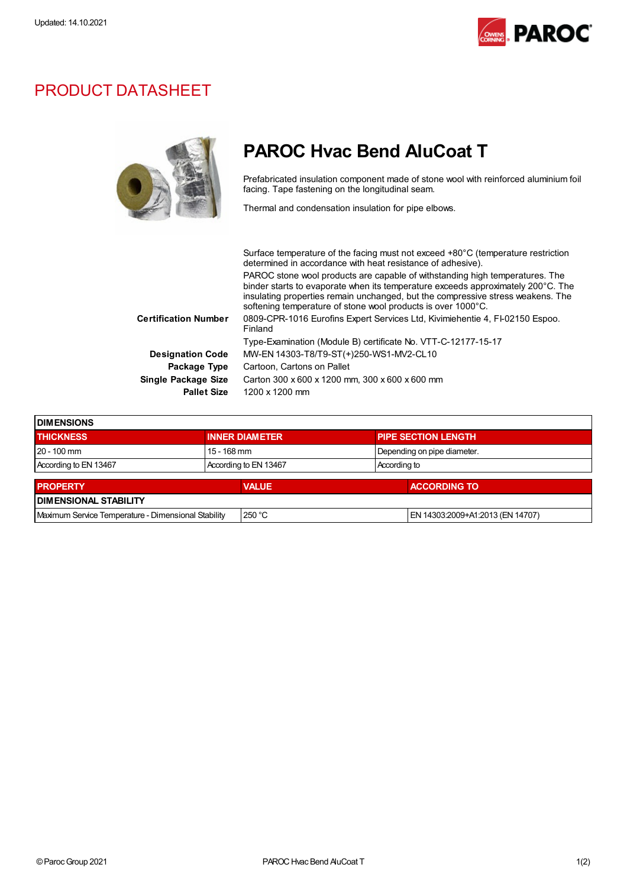

## PRODUCT DATASHEET

## PAROC Hvac Bend AluCoat T

Prefabricated insulation component made of stone wool with reinforced aluminium foil facing. Tape fastening on the longitudinal seam.

Thermal and condensation insulation for pipe elbows.

| Surface temperature of the facing must not exceed +80°C (temperature restriction<br>determined in accordance with heat resistance of adhesive).                                                                                                                                                                     |
|---------------------------------------------------------------------------------------------------------------------------------------------------------------------------------------------------------------------------------------------------------------------------------------------------------------------|
| PAROC stone wool products are capable of withstanding high temperatures. The<br>binder starts to evaporate when its temperature exceeds approximately 200°C. The<br>insulating properties remain unchanged, but the compressive stress weakens. The<br>softening temperature of stone wool products is over 1000°C. |
| 0809-CPR-1016 Eurofins Expert Services Ltd, Kivimiehentie 4, FI-02150 Espoo.<br>Finland                                                                                                                                                                                                                             |
| Type-Examination (Module B) certificate No. VTT-C-12177-15-17                                                                                                                                                                                                                                                       |
| MW-EN 14303-T8/T9-ST(+)250-WS1-MV2-CL10                                                                                                                                                                                                                                                                             |
| Cartoon. Cartons on Pallet                                                                                                                                                                                                                                                                                          |
| Carton 300 x 600 x 1200 mm, 300 x 600 x 600 mm                                                                                                                                                                                                                                                                      |
| 1200 x 1200 mm                                                                                                                                                                                                                                                                                                      |
|                                                                                                                                                                                                                                                                                                                     |

| <b>I DIMENSIONS</b>                                 |                       |              |                             |  |                                  |
|-----------------------------------------------------|-----------------------|--------------|-----------------------------|--|----------------------------------|
| <b>THICKNESS</b>                                    | <b>INNER DIAMETER</b> |              | <b>PIPE SECTION LENGTH</b>  |  |                                  |
| $20 - 100$ mm                                       | $15 - 168$ mm         |              | Depending on pipe diameter. |  |                                  |
| According to EN 13467                               | According to EN 13467 |              | According to                |  |                                  |
| <b>PROPERTY</b>                                     |                       | <b>VALUE</b> |                             |  | <b>ACCORDING TO</b>              |
| <b>DIMENSIONAL STABILITY</b>                        |                       |              |                             |  |                                  |
| Maximum Service Temperature - Dimensional Stability |                       | 250 °C       |                             |  | EN 14303:2009+A1:2013 (EN 14707) |